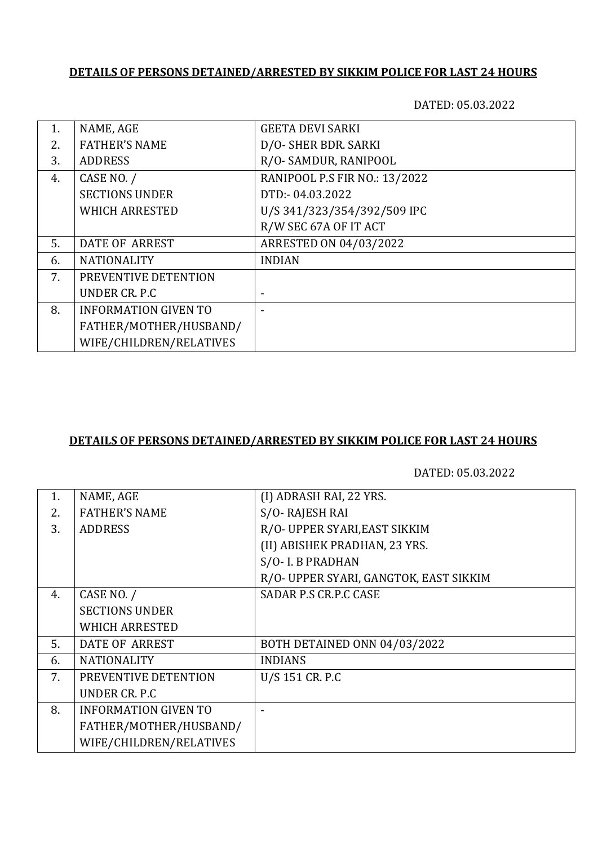DATED: 05.03.2022

| 1. | NAME, AGE                   | <b>GEETA DEVI SARKI</b>       |
|----|-----------------------------|-------------------------------|
| 2. | <b>FATHER'S NAME</b>        | D/O- SHER BDR. SARKI          |
| 3. | <b>ADDRESS</b>              | R/O-SAMDUR, RANIPOOL          |
| 4. | CASE NO. /                  | RANIPOOL P.S FIR NO.: 13/2022 |
|    | <b>SECTIONS UNDER</b>       | DTD:-04.03.2022               |
|    | <b>WHICH ARRESTED</b>       | U/S 341/323/354/392/509 IPC   |
|    |                             | R/W SEC 67A OF IT ACT         |
| 5. | <b>DATE OF ARREST</b>       | ARRESTED ON 04/03/2022        |
| 6. | <b>NATIONALITY</b>          | <b>INDIAN</b>                 |
| 7. | PREVENTIVE DETENTION        |                               |
|    | UNDER CR. P.C.              | -                             |
| 8. | <b>INFORMATION GIVEN TO</b> |                               |
|    | FATHER/MOTHER/HUSBAND/      |                               |
|    | WIFE/CHILDREN/RELATIVES     |                               |

### **DETAILS OF PERSONS DETAINED/ARRESTED BY SIKKIM POLICE FOR LAST 24 HOURS**

| 1. | NAME, AGE                   | (I) ADRASH RAI, 22 YRS.                |
|----|-----------------------------|----------------------------------------|
| 2. | <b>FATHER'S NAME</b>        | S/O-RAJESH RAI                         |
| 3. | <b>ADDRESS</b>              | R/O- UPPER SYARI, EAST SIKKIM          |
|    |                             | (II) ABISHEK PRADHAN, 23 YRS.          |
|    |                             | S/O- I. B PRADHAN                      |
|    |                             | R/O- UPPER SYARI, GANGTOK, EAST SIKKIM |
| 4. | CASE NO. /                  | SADAR P.S CR.P.C CASE                  |
|    | <b>SECTIONS UNDER</b>       |                                        |
|    | <b>WHICH ARRESTED</b>       |                                        |
| 5. | <b>DATE OF ARREST</b>       | BOTH DETAINED ONN 04/03/2022           |
| 6. | <b>NATIONALITY</b>          | <b>INDIANS</b>                         |
| 7. | PREVENTIVE DETENTION        | U/S 151 CR. P.C                        |
|    | UNDER CR. P.C               |                                        |
| 8. | <b>INFORMATION GIVEN TO</b> |                                        |
|    | FATHER/MOTHER/HUSBAND/      |                                        |
|    | WIFE/CHILDREN/RELATIVES     |                                        |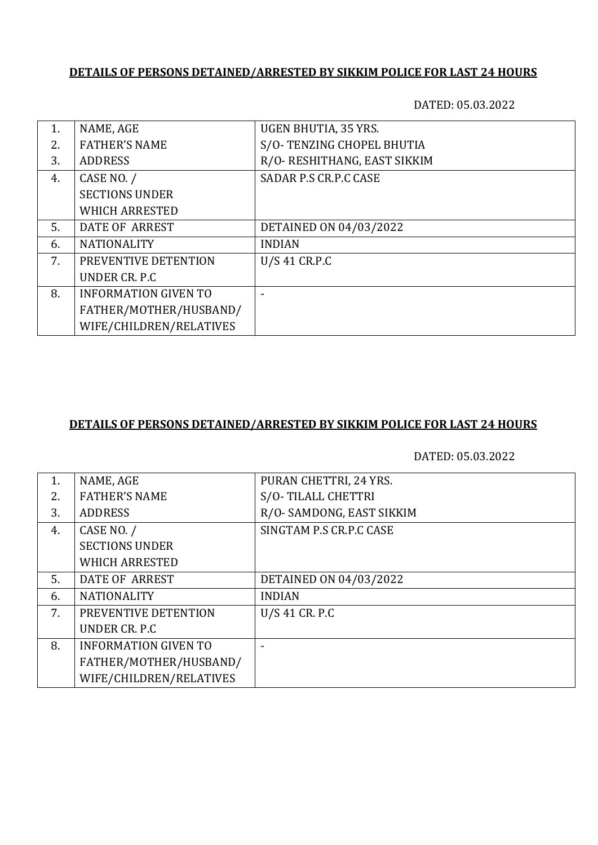DATED: 05.03.2022

| 1.  | NAME, AGE                   | UGEN BHUTIA, 35 YRS.         |
|-----|-----------------------------|------------------------------|
| 2.5 | <b>FATHER'S NAME</b>        | S/O-TENZING CHOPEL BHUTIA    |
| 3.  | <b>ADDRESS</b>              | R/O- RESHITHANG, EAST SIKKIM |
| 4.  | CASE NO. /                  | SADAR P.S CR.P.C CASE        |
|     | <b>SECTIONS UNDER</b>       |                              |
|     | <b>WHICH ARRESTED</b>       |                              |
| 5.  | DATE OF ARREST              | DETAINED ON 04/03/2022       |
| 6.  | <b>NATIONALITY</b>          | <b>INDIAN</b>                |
| 7.  | PREVENTIVE DETENTION        | U/S 41 CR.P.C                |
|     | UNDER CR. P.C.              |                              |
| 8.  | <b>INFORMATION GIVEN TO</b> |                              |
|     | FATHER/MOTHER/HUSBAND/      |                              |
|     | WIFE/CHILDREN/RELATIVES     |                              |

### **DETAILS OF PERSONS DETAINED/ARRESTED BY SIKKIM POLICE FOR LAST 24 HOURS**

| 1. | NAME, AGE                   | PURAN CHETTRI, 24 YRS.   |
|----|-----------------------------|--------------------------|
| 2. | <b>FATHER'S NAME</b>        | S/O-TILALL CHETTRI       |
| 3. | <b>ADDRESS</b>              | R/O-SAMDONG, EAST SIKKIM |
| 4. | CASE NO. /                  | SINGTAM P.S CR.P.C CASE  |
|    | <b>SECTIONS UNDER</b>       |                          |
|    | <b>WHICH ARRESTED</b>       |                          |
| 5. | DATE OF ARREST              | DETAINED ON 04/03/2022   |
| 6. | <b>NATIONALITY</b>          | <b>INDIAN</b>            |
| 7. | PREVENTIVE DETENTION        | U/S 41 CR. P.C           |
|    | UNDER CR. P.C.              |                          |
| 8. | <b>INFORMATION GIVEN TO</b> |                          |
|    | FATHER/MOTHER/HUSBAND/      |                          |
|    | WIFE/CHILDREN/RELATIVES     |                          |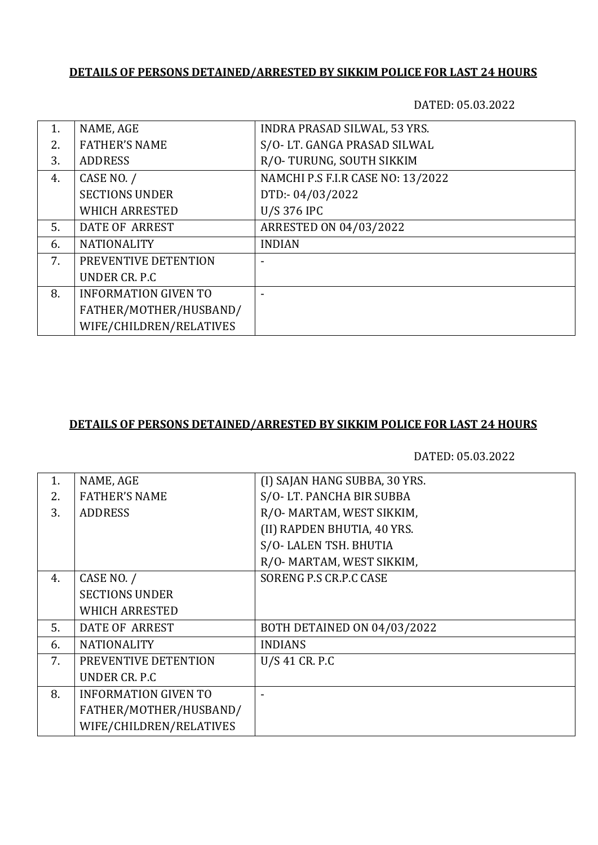DATED: 05.03.2022

| NAME, AGE                   | INDRA PRASAD SILWAL, 53 YRS.      |
|-----------------------------|-----------------------------------|
| <b>FATHER'S NAME</b>        | S/O-LT. GANGA PRASAD SILWAL       |
| <b>ADDRESS</b>              | R/O-TURUNG, SOUTH SIKKIM          |
| CASE NO. /                  | NAMCHI P.S F.I.R CASE NO: 13/2022 |
| <b>SECTIONS UNDER</b>       | DTD:-04/03/2022                   |
| <b>WHICH ARRESTED</b>       | <b>U/S 376 IPC</b>                |
| <b>DATE OF ARREST</b>       | ARRESTED ON 04/03/2022            |
| <b>NATIONALITY</b>          | <b>INDIAN</b>                     |
| PREVENTIVE DETENTION        |                                   |
| UNDER CR. P.C               |                                   |
| <b>INFORMATION GIVEN TO</b> |                                   |
| FATHER/MOTHER/HUSBAND/      |                                   |
| WIFE/CHILDREN/RELATIVES     |                                   |
|                             |                                   |

### **DETAILS OF PERSONS DETAINED/ARRESTED BY SIKKIM POLICE FOR LAST 24 HOURS**

| NAME, AGE                   | (I) SAJAN HANG SUBBA, 30 YRS. |
|-----------------------------|-------------------------------|
| <b>FATHER'S NAME</b>        | S/O-LT. PANCHA BIR SUBBA      |
| <b>ADDRESS</b>              | R/O- MARTAM, WEST SIKKIM,     |
|                             | (II) RAPDEN BHUTIA, 40 YRS.   |
|                             | S/O-LALEN TSH. BHUTIA         |
|                             | R/O- MARTAM, WEST SIKKIM,     |
| CASE NO. /                  | SORENG P.S CR.P.C CASE        |
| <b>SECTIONS UNDER</b>       |                               |
| <b>WHICH ARRESTED</b>       |                               |
| DATE OF ARREST              | BOTH DETAINED ON 04/03/2022   |
| <b>NATIONALITY</b>          | <b>INDIANS</b>                |
| PREVENTIVE DETENTION        | $U/S$ 41 CR. P.C              |
| UNDER CR. P.C.              |                               |
| <b>INFORMATION GIVEN TO</b> |                               |
| FATHER/MOTHER/HUSBAND/      |                               |
| WIFE/CHILDREN/RELATIVES     |                               |
|                             |                               |